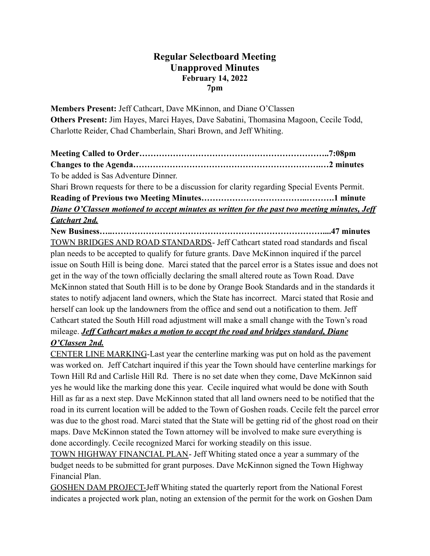## **Regular Selectboard Meeting Unapproved Minutes February 14, 2022 7pm**

**Members Present:** Jeff Cathcart, Dave MKinnon, and Diane O'Classen **Others Present:** Jim Hayes, Marci Hayes, Dave Sabatini, Thomasina Magoon, Cecile Todd, Charlotte Reider, Chad Chamberlain, Shari Brown, and Jeff Whiting.

| To be added is Sas Adventure Dinner.                                                           |  |
|------------------------------------------------------------------------------------------------|--|
| Shari Brown requests for there to be a discussion for clarity regarding Special Events Permit. |  |
|                                                                                                |  |
| Diane O'Classen motioned to accept minutes as written for the past two meeting minutes, Jeff   |  |
| <b>Catchart 2nd.</b>                                                                           |  |

**New Business…..…………………………………………………………………....47 minutes** TOWN BRIDGES AND ROAD STANDARDS- Jeff Cathcart stated road standards and fiscal plan needs to be accepted to qualify for future grants. Dave McKinnon inquired if the parcel issue on South Hill is being done. Marci stated that the parcel error is a States issue and does not get in the way of the town officially declaring the small altered route as Town Road. Dave McKinnon stated that South Hill is to be done by Orange Book Standards and in the standards it states to notify adjacent land owners, which the State has incorrect. Marci stated that Rosie and herself can look up the landowners from the office and send out a notification to them. Jeff Cathcart stated the South Hill road adjustment will make a small change with the Town's road mileage. *Jeff Cathcart makes a motion to accept the road and bridges standard, Diane O'Classen 2nd.*

CENTER LINE MARKING-Last year the centerline marking was put on hold as the pavement was worked on. Jeff Catchart inquired if this year the Town should have centerline markings for Town Hill Rd and Carlisle Hill Rd. There is no set date when they come, Dave McKinnon said yes he would like the marking done this year. Cecile inquired what would be done with South Hill as far as a next step. Dave McKinnon stated that all land owners need to be notified that the road in its current location will be added to the Town of Goshen roads. Cecile felt the parcel error was due to the ghost road. Marci stated that the State will be getting rid of the ghost road on their maps. Dave McKinnon stated the Town attorney will be involved to make sure everything is done accordingly. Cecile recognized Marci for working steadily on this issue.

TOWN HIGHWAY FINANCIAL PLAN- Jeff Whiting stated once a year a summary of the budget needs to be submitted for grant purposes. Dave McKinnon signed the Town Highway Financial Plan.

GOSHEN DAM PROJECT-Jeff Whiting stated the quarterly report from the National Forest indicates a projected work plan, noting an extension of the permit for the work on Goshen Dam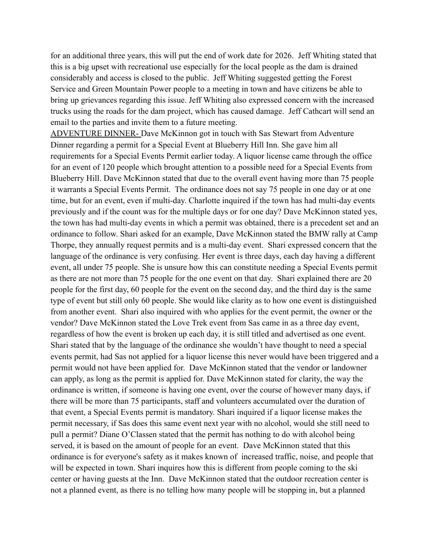for an additional three years, this will put the end of work date for 2026. Jeff Whiting stated that this is a big upset with recreational use especially for the local people as the dam is drained considerably and access is closed to the public. Jeff Whiting suggested getting the Forest Service and Green Mountain Power people to a meeting in town and have citizens be able to bring up grievances regarding this issue. Jeff Whiting also expressed concern with the increased trucks using the roads for the dam project, which has caused damage. Jeff Cathcart will send an email to the parties and invite them to a future meeting.

ADVENTURE DINNER- Dave McKinnon got in touch with Sas Stewart from Adventure Dinner regarding a permit for a Special Event at Blueberry Hill Inn. She gave him all requirements for a Special Events Permit earlier today. A liquor license came through the office for an event of 120 people which brought attention to a possible need for a Special Events from Blueberry Hill. Dave McKinnon stated that due to the overall event having more than 75 people it warrants a Special Events Permit. The ordinance does not say 75 people in one day or at one time, but for an event, even if multi-day. Charlotte inquired if the town has had multi-day events previously and if the count was for the multiple days or for one day? Dave McKinnon stated yes, the town has had multi-day events in which a permit was obtained, there is a precedent set and an ordinance to follow. Shari asked for an example, Dave McKinnon stated the BMW rally at Camp Thorpe, they annually request permits and is a multi-day event. Shari expressed concern that the language of the ordinance is very confusing. Her event is three days, each day having a different event, all under 75 people. She is unsure how this can constitute needing a Special Events permit as there are not more than 75 people for the one event on that day. Shari explained there are 20 people for the first day, 60 people for the event on the second day, and the third day is the same type of event but still only 60 people. She would like clarity as to how one event is distinguished from another event. Shari also inquired with who applies for the event permit, the owner or the vendor? Dave McKinnon stated the Love Trek event from Sas came in as a three day event, regardless of how the event is broken up each day, it is still titled and advertised as one event. Shari stated that by the language of the ordinance she wouldn't have thought to need a special events permit, had Sas not applied for a liquor license this never would have been triggered and a permit would not have been applied for. Dave McKinnon stated that the vendor or landowner can apply, as long as the permit is applied for. Dave McKinnon stated for clarity, the way the ordinance is written, if someone is having one event, over the course of however many days, if there will be more than 75 participants, staff and volunteers accumulated over the duration of that event, a Special Events permit is mandatory. Shari inquired if a liquor license makes the permit necessary, if Sas does this same event next year with no alcohol, would she still need to pull a permit? Diane O'Classen stated that the permit has nothing to do with alcohol being served, it is based on the amount of people for an event. Dave McKinnon stated that this ordinance is for everyone's safety as it makes known of increased traffic, noise, and people that will be expected in town. Shari inquires how this is different from people coming to the ski center or having guests at the Inn. Dave McKinnon stated that the outdoor recreation center is not a planned event, as there is no telling how many people will be stopping in, but a planned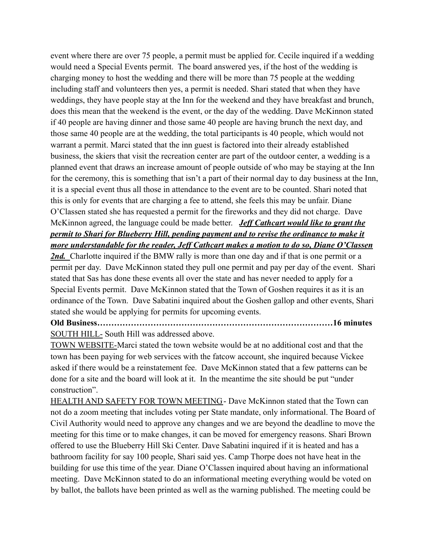event where there are over 75 people, a permit must be applied for. Cecile inquired if a wedding would need a Special Events permit. The board answered yes, if the host of the wedding is charging money to host the wedding and there will be more than 75 people at the wedding including staff and volunteers then yes, a permit is needed. Shari stated that when they have weddings, they have people stay at the Inn for the weekend and they have breakfast and brunch, does this mean that the weekend is the event, or the day of the wedding. Dave McKinnon stated if 40 people are having dinner and those same 40 people are having brunch the next day, and those same 40 people are at the wedding, the total participants is 40 people, which would not warrant a permit. Marci stated that the inn guest is factored into their already established business, the skiers that visit the recreation center are part of the outdoor center, a wedding is a planned event that draws an increase amount of people outside of who may be staying at the Inn for the ceremony, this is something that isn't a part of their normal day to day business at the Inn, it is a special event thus all those in attendance to the event are to be counted. Shari noted that this is only for events that are charging a fee to attend, she feels this may be unfair. Diane O'Classen stated she has requested a permit for the fireworks and they did not charge. Dave McKinnon agreed, the language could be made better. *Jeff Cathcart would like to grant the permit to Shari for Blueberry Hill, pending payment and to revise the ordinance to make it more understandable for the reader, Jeff Cathcart makes a motion to do so, Diane O'Classen*

2nd. Charlotte inquired if the BMW rally is more than one day and if that is one permit or a permit per day. Dave McKinnon stated they pull one permit and pay per day of the event. Shari stated that Sas has done these events all over the state and has never needed to apply for a Special Events permit. Dave McKinnon stated that the Town of Goshen requires it as it is an ordinance of the Town. Dave Sabatini inquired about the Goshen gallop and other events, Shari stated she would be applying for permits for upcoming events.

**Old Business…………………………………………………………………………16 minutes** SOUTH HILL- South Hill was addressed above.

TOWN WEBSITE-Marci stated the town website would be at no additional cost and that the town has been paying for web services with the fatcow account, she inquired because Vickee asked if there would be a reinstatement fee. Dave McKinnon stated that a few patterns can be done for a site and the board will look at it. In the meantime the site should be put "under construction".

HEALTH AND SAFETY FOR TOWN MEETING - Dave McKinnon stated that the Town can not do a zoom meeting that includes voting per State mandate, only informational. The Board of Civil Authority would need to approve any changes and we are beyond the deadline to move the meeting for this time or to make changes, it can be moved for emergency reasons. Shari Brown offered to use the Blueberry Hill Ski Center. Dave Sabatini inquired if it is heated and has a bathroom facility for say 100 people, Shari said yes. Camp Thorpe does not have heat in the building for use this time of the year. Diane O'Classen inquired about having an informational meeting. Dave McKinnon stated to do an informational meeting everything would be voted on by ballot, the ballots have been printed as well as the warning published. The meeting could be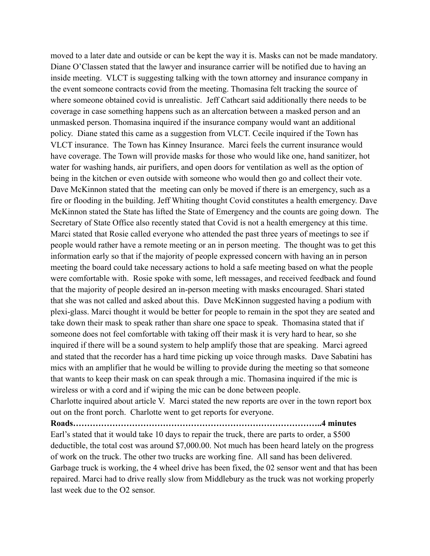moved to a later date and outside or can be kept the way it is. Masks can not be made mandatory. Diane O'Classen stated that the lawyer and insurance carrier will be notified due to having an inside meeting. VLCT is suggesting talking with the town attorney and insurance company in the event someone contracts covid from the meeting. Thomasina felt tracking the source of where someone obtained covid is unrealistic. Jeff Cathcart said additionally there needs to be coverage in case something happens such as an altercation between a masked person and an unmasked person. Thomasina inquired if the insurance company would want an additional policy. Diane stated this came as a suggestion from VLCT. Cecile inquired if the Town has VLCT insurance. The Town has Kinney Insurance. Marci feels the current insurance would have coverage. The Town will provide masks for those who would like one, hand sanitizer, hot water for washing hands, air purifiers, and open doors for ventilation as well as the option of being in the kitchen or even outside with someone who would then go and collect their vote. Dave McKinnon stated that the meeting can only be moved if there is an emergency, such as a fire or flooding in the building. Jeff Whiting thought Covid constitutes a health emergency. Dave McKinnon stated the State has lifted the State of Emergency and the counts are going down. The Secretary of State Office also recently stated that Covid is not a health emergency at this time. Marci stated that Rosie called everyone who attended the past three years of meetings to see if people would rather have a remote meeting or an in person meeting. The thought was to get this information early so that if the majority of people expressed concern with having an in person meeting the board could take necessary actions to hold a safe meeting based on what the people were comfortable with. Rosie spoke with some, left messages, and received feedback and found that the majority of people desired an in-person meeting with masks encouraged. Shari stated that she was not called and asked about this. Dave McKinnon suggested having a podium with plexi-glass. Marci thought it would be better for people to remain in the spot they are seated and take down their mask to speak rather than share one space to speak. Thomasina stated that if someone does not feel comfortable with taking off their mask it is very hard to hear, so she inquired if there will be a sound system to help amplify those that are speaking. Marci agreed and stated that the recorder has a hard time picking up voice through masks. Dave Sabatini has mics with an amplifier that he would be willing to provide during the meeting so that someone that wants to keep their mask on can speak through a mic. Thomasina inquired if the mic is wireless or with a cord and if wiping the mic can be done between people.

Charlotte inquired about article V. Marci stated the new reports are over in the town report box out on the front porch. Charlotte went to get reports for everyone.

**Roads……………………………………………………………………………..4 minutes**

Earl's stated that it would take 10 days to repair the truck, there are parts to order, a \$500 deductible, the total cost was around \$7,000.00. Not much has been heard lately on the progress of work on the truck. The other two trucks are working fine. All sand has been delivered. Garbage truck is working, the 4 wheel drive has been fixed, the 02 sensor went and that has been repaired. Marci had to drive really slow from Middlebury as the truck was not working properly last week due to the O2 sensor.